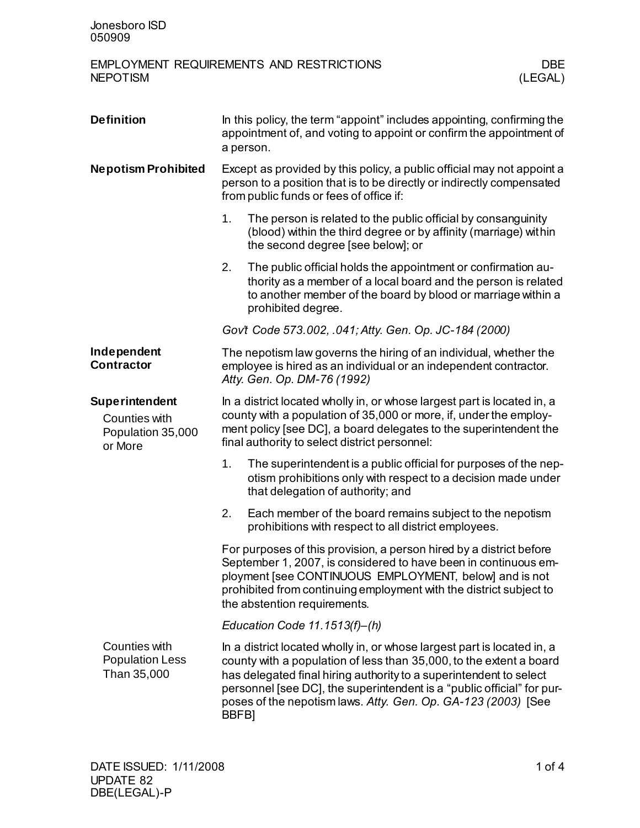## EMPLOYMENT REQUIREMENTS AND RESTRICTIONS DBE<br>NEPOTISM (LEGAL) **NEPOTISM**

| <b>Definition</b>                                               | In this policy, the term "appoint" includes appointing, confirming the<br>appointment of, and voting to appoint or confirm the appointment of<br>a person.                                                                                                                                             |                                                                                                                                                                                                                                                                                                                                                                 |  |
|-----------------------------------------------------------------|--------------------------------------------------------------------------------------------------------------------------------------------------------------------------------------------------------------------------------------------------------------------------------------------------------|-----------------------------------------------------------------------------------------------------------------------------------------------------------------------------------------------------------------------------------------------------------------------------------------------------------------------------------------------------------------|--|
| <b>Nepotism Prohibited</b>                                      | Except as provided by this policy, a public official may not appoint a<br>person to a position that is to be directly or indirectly compensated<br>from public funds or fees of office if:                                                                                                             |                                                                                                                                                                                                                                                                                                                                                                 |  |
|                                                                 | 1.                                                                                                                                                                                                                                                                                                     | The person is related to the public official by consanguinity<br>(blood) within the third degree or by affinity (marriage) within<br>the second degree [see below]; or                                                                                                                                                                                          |  |
|                                                                 | 2.                                                                                                                                                                                                                                                                                                     | The public official holds the appointment or confirmation au-<br>thority as a member of a local board and the person is related<br>to another member of the board by blood or marriage within a<br>prohibited degree.                                                                                                                                           |  |
|                                                                 |                                                                                                                                                                                                                                                                                                        | Gov't Code 573.002, .041; Atty. Gen. Op. JC-184 (2000)                                                                                                                                                                                                                                                                                                          |  |
| Independent<br><b>Contractor</b>                                |                                                                                                                                                                                                                                                                                                        | The nepotism law governs the hiring of an individual, whether the<br>employee is hired as an individual or an independent contractor.<br>Atty. Gen. Op. DM-76 (1992)                                                                                                                                                                                            |  |
| Superintendent<br>Counties with<br>Population 35,000<br>or More | In a district located wholly in, or whose largest part is located in, a<br>county with a population of 35,000 or more, if, under the employ-<br>ment policy [see DC], a board delegates to the superintendent the<br>final authority to select district personnel:                                     |                                                                                                                                                                                                                                                                                                                                                                 |  |
|                                                                 | 1.                                                                                                                                                                                                                                                                                                     | The superintendent is a public official for purposes of the nep-<br>otism prohibitions only with respect to a decision made under<br>that delegation of authority; and                                                                                                                                                                                          |  |
|                                                                 | 2.                                                                                                                                                                                                                                                                                                     | Each member of the board remains subject to the nepotism<br>prohibitions with respect to all district employees.                                                                                                                                                                                                                                                |  |
|                                                                 | For purposes of this provision, a person hired by a district before<br>September 1, 2007, is considered to have been in continuous em-<br>ployment [see CONTINUOUS EMPLOYMENT, below] and is not<br>prohibited from continuing employment with the district subject to<br>the abstention requirements. |                                                                                                                                                                                                                                                                                                                                                                 |  |
|                                                                 | Education Code 11.1513(f)-(h)                                                                                                                                                                                                                                                                          |                                                                                                                                                                                                                                                                                                                                                                 |  |
| Counties with<br><b>Population Less</b><br>Than 35,000          | BBFB <sub>l</sub>                                                                                                                                                                                                                                                                                      | In a district located wholly in, or whose largest part is located in, a<br>county with a population of less than 35,000, to the extent a board<br>has delegated final hiring authority to a superintendent to select<br>personnel [see DC], the superintendent is a "public official" for pur-<br>poses of the nepotism laws. Atty. Gen. Op. GA-123 (2003) [See |  |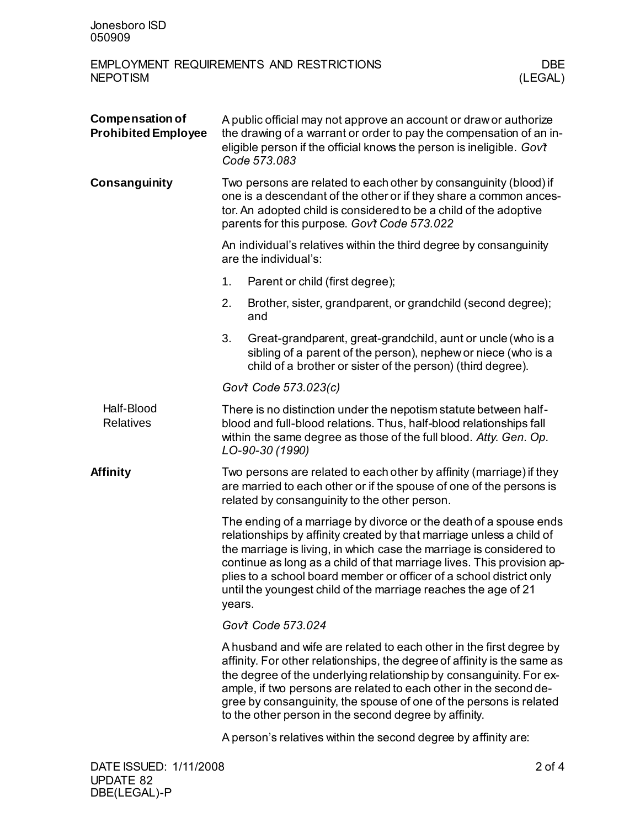| Jonesboro ISD<br>050909                              |                                                                                                                                                                                                                                                                                                                                                                                                                                               |                                                                                                                                                                                                                                   |                |  |  |  |
|------------------------------------------------------|-----------------------------------------------------------------------------------------------------------------------------------------------------------------------------------------------------------------------------------------------------------------------------------------------------------------------------------------------------------------------------------------------------------------------------------------------|-----------------------------------------------------------------------------------------------------------------------------------------------------------------------------------------------------------------------------------|----------------|--|--|--|
| <b>NEPOTISM</b>                                      |                                                                                                                                                                                                                                                                                                                                                                                                                                               | <b>EMPLOYMENT REQUIREMENTS AND RESTRICTIONS</b>                                                                                                                                                                                   | DBE<br>(LEGAL) |  |  |  |
| <b>Compensation of</b><br><b>Prohibited Employee</b> |                                                                                                                                                                                                                                                                                                                                                                                                                                               | A public official may not approve an account or draw or authorize<br>the drawing of a warrant or order to pay the compensation of an in-<br>eligible person if the official knows the person is ineligible. Gov't<br>Code 573.083 |                |  |  |  |
| <b>Consanguinity</b>                                 | Two persons are related to each other by consanguinity (blood) if<br>one is a descendant of the other or if they share a common ances-<br>tor. An adopted child is considered to be a child of the adoptive<br>parents for this purpose. Gov't Code 573.022                                                                                                                                                                                   |                                                                                                                                                                                                                                   |                |  |  |  |
|                                                      | An individual's relatives within the third degree by consanguinity<br>are the individual's:                                                                                                                                                                                                                                                                                                                                                   |                                                                                                                                                                                                                                   |                |  |  |  |
|                                                      | 1.                                                                                                                                                                                                                                                                                                                                                                                                                                            | Parent or child (first degree);                                                                                                                                                                                                   |                |  |  |  |
|                                                      | 2.                                                                                                                                                                                                                                                                                                                                                                                                                                            | Brother, sister, grandparent, or grandchild (second degree);<br>and                                                                                                                                                               |                |  |  |  |
|                                                      | 3.                                                                                                                                                                                                                                                                                                                                                                                                                                            | Great-grandparent, great-grandchild, aunt or uncle (who is a<br>sibling of a parent of the person), nephew or niece (who is a<br>child of a brother or sister of the person) (third degree).                                      |                |  |  |  |
|                                                      |                                                                                                                                                                                                                                                                                                                                                                                                                                               | Gov't Code 573.023(c)                                                                                                                                                                                                             |                |  |  |  |
| Half-Blood<br><b>Relatives</b>                       |                                                                                                                                                                                                                                                                                                                                                                                                                                               | There is no distinction under the nepotism statute between half-<br>blood and full-blood relations. Thus, half-blood relationships fall<br>within the same degree as those of the full blood. Atty. Gen. Op.<br>LO-90-30 (1990)   |                |  |  |  |
| Affinity                                             | Two persons are related to each other by affinity (marriage) if they<br>are married to each other or if the spouse of one of the persons is<br>related by consanguinity to the other person.                                                                                                                                                                                                                                                  |                                                                                                                                                                                                                                   |                |  |  |  |
|                                                      | The ending of a marriage by divorce or the death of a spouse ends<br>relationships by affinity created by that marriage unless a child of<br>the marriage is living, in which case the marriage is considered to<br>continue as long as a child of that marriage lives. This provision ap-<br>plies to a school board member or officer of a school district only<br>until the youngest child of the marriage reaches the age of 21<br>years. |                                                                                                                                                                                                                                   |                |  |  |  |
|                                                      | Gov't Code 573.024                                                                                                                                                                                                                                                                                                                                                                                                                            |                                                                                                                                                                                                                                   |                |  |  |  |
|                                                      | A husband and wife are related to each other in the first degree by<br>affinity. For other relationships, the degree of affinity is the same as<br>the degree of the underlying relationship by consanguinity. For ex-<br>ample, if two persons are related to each other in the second de-<br>gree by consanguinity, the spouse of one of the persons is related<br>to the other person in the second degree by affinity.                    |                                                                                                                                                                                                                                   |                |  |  |  |
|                                                      | A person's relatives within the second degree by affinity are:                                                                                                                                                                                                                                                                                                                                                                                |                                                                                                                                                                                                                                   |                |  |  |  |
| DATE ISSUED: 1/11/2008                               |                                                                                                                                                                                                                                                                                                                                                                                                                                               |                                                                                                                                                                                                                                   | $2$ of 4       |  |  |  |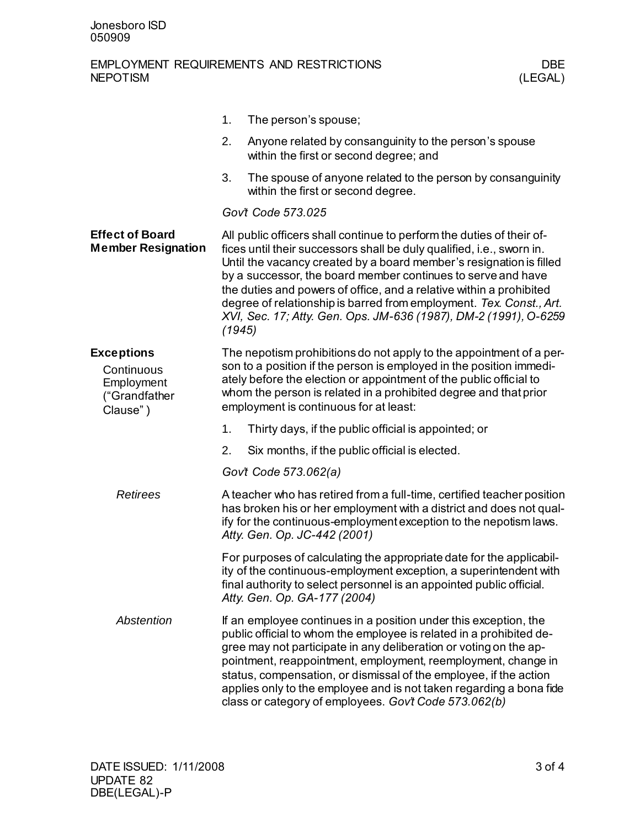## EMPLOYMENT REQUIREMENTS AND RESTRICTIONS DBE<br>NEPOTISM (LEGAL) **NEPOTISM**

|                                                                            | 1.     | The person's spouse;                                                                                                                                                                                                                                                                                                                                                                                                                                                                                    |
|----------------------------------------------------------------------------|--------|---------------------------------------------------------------------------------------------------------------------------------------------------------------------------------------------------------------------------------------------------------------------------------------------------------------------------------------------------------------------------------------------------------------------------------------------------------------------------------------------------------|
|                                                                            | 2.     | Anyone related by consanguinity to the person's spouse<br>within the first or second degree; and                                                                                                                                                                                                                                                                                                                                                                                                        |
|                                                                            | 3.     | The spouse of anyone related to the person by consanguinity<br>within the first or second degree.                                                                                                                                                                                                                                                                                                                                                                                                       |
|                                                                            |        | Gov't Code 573.025                                                                                                                                                                                                                                                                                                                                                                                                                                                                                      |
| <b>Effect of Board</b><br><b>Member Resignation</b>                        | (1945) | All public officers shall continue to perform the duties of their of-<br>fices until their successors shall be duly qualified, i.e., sworn in.<br>Until the vacancy created by a board member's resignation is filled<br>by a successor, the board member continues to serve and have<br>the duties and powers of office, and a relative within a prohibited<br>degree of relationship is barred from employment. Tex. Const., Art.<br>XVI, Sec. 17; Atty. Gen. Ops. JM-636 (1987), DM-2 (1991), O-6259 |
| <b>Exceptions</b><br>Continuous<br>Employment<br>("Grandfather<br>Clause") |        | The nepotism prohibitions do not apply to the appointment of a per-<br>son to a position if the person is employed in the position immedi-<br>ately before the election or appointment of the public official to<br>whom the person is related in a prohibited degree and that prior<br>employment is continuous for at least:                                                                                                                                                                          |
|                                                                            | 1.     | Thirty days, if the public official is appointed; or                                                                                                                                                                                                                                                                                                                                                                                                                                                    |
|                                                                            | 2.     | Six months, if the public official is elected.                                                                                                                                                                                                                                                                                                                                                                                                                                                          |
|                                                                            |        | Govt Code 573.062(a)                                                                                                                                                                                                                                                                                                                                                                                                                                                                                    |
| <b>Retirees</b>                                                            |        | A teacher who has retired from a full-time, certified teacher position<br>has broken his or her employment with a district and does not qual-<br>ify for the continuous-employment exception to the nepotism laws.<br>Atty. Gen. Op. JC-442 (2001)                                                                                                                                                                                                                                                      |
|                                                                            |        | For purposes of calculating the appropriate date for the applicabil-<br>ity of the continuous-employment exception, a superintendent with<br>final authority to select personnel is an appointed public official.<br>Atty. Gen. Op. GA-177 (2004)                                                                                                                                                                                                                                                       |
| Abstention                                                                 |        | If an employee continues in a position under this exception, the<br>public official to whom the employee is related in a prohibited de-<br>gree may not participate in any deliberation or voting on the ap-<br>pointment, reappointment, employment, reemployment, change in<br>status, compensation, or dismissal of the employee, if the action<br>applies only to the employee and is not taken regarding a bona fide<br>class or category of employees. Gov't Code 573.062(b)                      |